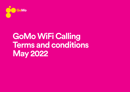

## **GoMo WiFi Calling Terms and conditions May 2022**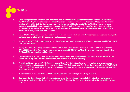

- 1. The following terms and conditions form part of and are subject to the terms and conditions of the GoMo WiFi Calling service ("GoMo WiFi Calling"). These terms are in addition to and form part of the terms and conditions of GoMo's general terms and conditions for the SIM Only Service, to which you have also agreed at http://www.GoMo.ie/. All of these terms combined constitute a legally binding agreement between GoMo ('we/us', '') and the Customer ('you/the Customer') for the use of the GoMo WiFi Calling service. All capitalised terms herein (unless otherwise defined) shall have whatever meaning is ascribed to them in the GoMo general terms and conditions.
- 2. The GoMo WiFi Calling service allows you to make and receive calls and SMS over any Wi-Fi connection. This should allow you to make and receive calls and SMS in poor or no mobile coverage areas.
- 3. By using GoMo WiFi Calling you agree to accept these Terms. If you don't agree with these Terms, please don't enable GoMo WiFi Calling on your phone.
- 4. Initially, the GoMo WiFi Calling service will only available to new GoMo customers who purchased a GoMo plan on or after 09/04/2021. For existing GoMo customers who signed up before 09/04/2021, GoMo will inform such customers directly when GoMo WiFi Calling is made available to them
- 5. To enable GoMo WiFi Calling, you need to use a compatible handset with latest firmware update from handset vendor i.e. the GoMo WiFi Calling is only available on handsets which are enabled or allow WiFi calling.
- 6. You will need to connect to a Wi-Fi hotspot and enable GoMo WiFi Calling in settings on your mobile phone. Once connected, your mobile phone will automatically connect to the GoMo WiFi Calling network. You will see the network change to "GoMo WiFi Calling" or the GoMo WiFi Calling icon on Android phones. Only then will you be able to make GoMo WiFi Calling calls and SMS over the WiFi network.
- 7. You can deactivate and activate the GoMo WiFi Calling option in your mobile phone settings at any time.
- 8. Emergency Services calls and SMS will always attempt to use the normal mobile network. Only if standard mobile network signal isn't available, the call will be routed over GoMo WiFi Calling and the Emergency Services will not be able to identify your location.